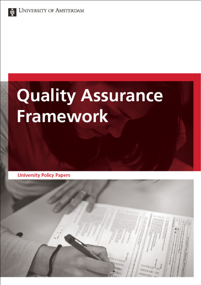

# **Quality Assurance Framework**

**University Policy Papers** 

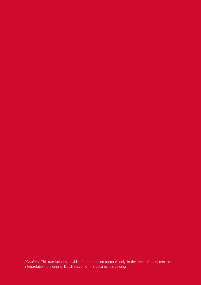*Disclaimer:* This translation is provided for information purposes only. In the event of a difference of interpretation, the original Dutch version of this document is binding.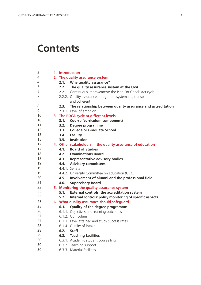# **Contents**

| 2. The quality assurance system |                                                               |
|---------------------------------|---------------------------------------------------------------|
| 2.1.                            | Why quality assurance?                                        |
| 2.2.                            | The quality assurance system at the UvA                       |
|                                 | 2.2.1. Continuous improvement: the Plan-Do-Check-Act cycle    |
|                                 | 2.2.2. Quality assurance: integrated, systematic, transparent |
|                                 | and coherent                                                  |
| 2.3.                            | The relationship between quality assurance and accreditation  |
|                                 | 2.3.1. Level of ambition                                      |
|                                 | 3. The PDCA cycle at different levels                         |
| 3.1.                            | Course (curriculum component)                                 |
| 3.2.                            | Degree programme                                              |
| 3.3.                            | <b>College or Graduate School</b>                             |
|                                 | 3.4. Faculty                                                  |
| 3.5.                            | Institution                                                   |
|                                 | 4. Other stakeholders in the quality assurance of education   |
|                                 | 4.1. Board of Studies                                         |
|                                 | 4.2. Examinations Board                                       |
|                                 | 4.3. Representative advisory bodies                           |
|                                 | 4.4. Advisory committees                                      |
|                                 | 4.4.1. Senate                                                 |
|                                 | 4.4.2. University Committee on Education (UCO)                |
|                                 | 4.5. Involvement of alumni and the professional field         |
| 4.6.                            | <b>Supervisory Board</b>                                      |
|                                 | 5. Monitoring the quality assurance system                    |
| 5.1.                            | External controls: the accreditation system                   |
| 5.2.                            | Internal controls: policy monitoring of specific aspects      |
|                                 | 6. What quality assurance should safeguard                    |
| 6.1.                            | Quality of the degree programme                               |
|                                 | 6.1.1. Objectives and learning outcomes                       |
|                                 | 6.1.2. Curriculum                                             |
|                                 | 6.1.3. Level attained and study success rates                 |
|                                 | 6.1.4. Quality of intake                                      |
|                                 | 6.2. Staff                                                    |
| 6.3.                            | <b>Teaching facilities</b>                                    |
|                                 | 6.3.1. Academic student counselling                           |
|                                 | 6.3.2. Teaching support                                       |
|                                 | 6.3.3. Material facilities                                    |
|                                 | 1. Introduction                                               |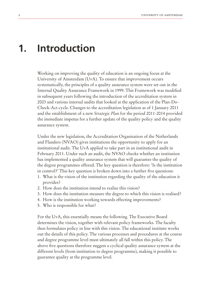### **Introduction 1.**

Working on improving the quality of education is an ongoing focus at the University of Amsterdam (UvA). To ensure that improvement occurs systematically, the principles of a quality assurance system were set out in the Internal Quality Assurance Framework in 1999. This Framework was modified in subsequent years following the introduction of the accreditation system in 2003 and various internal audits that looked at the application of the Plan-Do-Check-Act cycle. Changes to the accreditation legislation as of 1 January 2011 and the establishment of a new *Strategic Plan* for the period 2011-2014 provided the immediate impetus for a further update of the quality policy and the quality assurance system.

Under the new legislation, the Accreditation Organisation of the Netherlands and Flanders (NVAO) gives institutions the opportunity to apply for an institutional audit. The UvA applied to take part in an institutional audit in February 2011. Under such an audit, the NVAO checks whether an institution has implemented a quality assurance system that will guarantee the quality of the degree programmes offered. The key question is therefore: 'Is the institution in control?' This key question is broken down into a further five questions:

- 1. What is the vision of the institution regarding the quality of the education it provides?
- 2. How does the institution intend to realise this vision?
- 3. How does the institution measure the degree to which this vision is realised?
- 4. How is the institution working towards effecting improvements?
- 5. Who is responsible for what?

For the UvA, this essentially means the following. The Executive Board determines the vision, together with relevant policy frameworks. The faculty then formulates policy in line with this vision. The educational institute works out the details of this policy. The various processes and procedures at the course and degree programme level must ultimately all fall within this policy. The above five questions therefore suggest a cyclical quality assurance system at the different levels (from institution to degree programme), making it possible to guarantee quality at the programme level.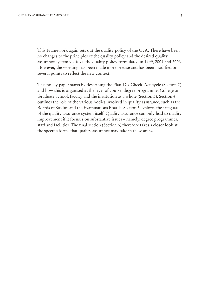This Framework again sets out the quality policy of the UvA. There have been no changes to the principles of the quality policy and the desired quality assurance system vis-à-vis the quality policy formulated in 1999, 2004 and 2006. However, the wording has been made more precise and has been modified on several points to reflect the new context.

This policy paper starts by describing the Plan-Do-Check-Act cycle (Section 2) and how this is organised at the level of course, degree programme, College or Graduate School, faculty and the institution as a whole (Section 3). Section 4 outlines the role of the various bodies involved in quality assurance, such as the Boards of Studies and the Examinations Boards. Section 5 explores the safeguards of the quality assurance system itself. Quality assurance can only lead to quality improvement if it focuses on substantive issues – namely, degree programmes, staff and facilities. The final section (Section 6) therefore takes a closer look at the specific forms that quality assurance may take in these areas.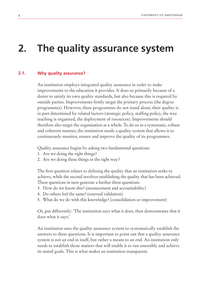# **2. The quality assurance system**

#### **Why quality assurance? 2.1.**

An institution employs integrated quality assurance in order to make improvements to the education it provides. It does so primarily because of a desire to satisfy its own quality standards, but also because this is required by outside parties. Improvements firstly target the primary process (the degree programmes). However, these programmes do not stand alone; their quality is in part determined by related factors (strategic policy, staffing policy, the way teaching is organised, the deployment of resources). Improvements should therefore also target the organisation as a whole. To do so in a systematic, robust and coherent manner, the institution needs a quality system that allows it to continuously monitor, ensure and improve the quality of its programmes.

Quality assurance begins by asking two fundamental questions:

- 1. Are we doing the right things?
- 2. Are we doing these things in the right way?

The first question relates to defining the quality that an institution seeks to achieve, while the second involves establishing the quality that has been achieved. These questions in turn generate a further three questions:

- 3. How do we know this? (measurement and accountability)
- 4. Do others feel the same? (external validation)
- 5. What do we do with this knowledge? (consolidation or improvement)

Or, put differently: 'The institution says what it does, then demonstrates that it does what it says.'

An institution uses the quality assurance system to systematically establish the answers to these questions. It is important to point out that a quality assurance system is not an end in itself, but rather a means to an end. An institution only needs to establish those matters that will enable it to run smoothly and achieve its stated goals. This is what makes an institution transparent.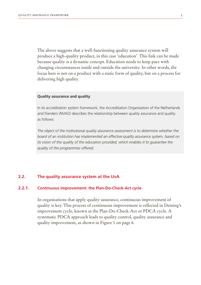The above suggests that a well-functioning quality assurance system will produce a high-quality product, in this case 'education'. This link can be made because quality is a dynamic concept. Education needs to keep pace with changing circumstances inside and outside the university. In other words, the focus here is not on a product with a static form of quality, but on a process for delivering high quality.

### **Quality assurance and quality**

In its accreditation system framework, the Accreditation Organisation of the Netherlands and Flanders (NVAO) describes the relationship between quality assurance and quality as follows:

*The object of the institutional quality assurance assessment is to determine whether the board of an institution has implemented an effective quality assurance system, based on its vision of the quality of the education provided, which enables it to quarantee the quality of the programmes offered.*

#### **The quality assurance system at the UvA 2.2.**

#### **Continuous improvement: the Plan-Do-Check-Act cycle 2.2.1.**

In organisations that apply quality assurance, continuous improvement of quality is key. This process of continuous improvement is reflected in Deming's improvement cycle, known as the Plan-Do-Check-Act or PDCA cycle. A systematic PDCA approach leads to quality control, quality assurance and quality improvement, as shown in Figure 1 on page 6.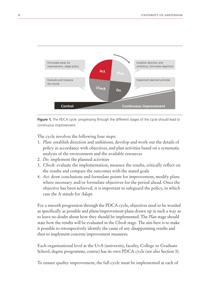

**Figure 1.** The PDCA cycle: progressing through the different stages of the cycle should lead to continuous improvement.

The cycle involves the following four steps:

- 1. *Plan:* establish direction and ambitions, develop and work out the details of policy in accordance with objectives, and plan activities based on a systematic analysis of the environment and the available resources
- 2. *Do:* implement the planned activities
- 3. *Check:* evaluate the implementation, measure the results, critically reflect on the results and compare the outcomes with the stated goals
- 4. *Act:* draw conclusions and formulate points for improvement, modify plans where necessary and/or formulate objectives for the period ahead. Once the objective has been achieved, it is important to safeguard the policy, in which case the A stands for *Adapt*.

For a smooth progression through the PDCA cycle, objectives need to be worded as specifically as possible and plans/improvement plans drawn up in such a way as to leave no doubt about how they should be implemented. The *Plan* stage should state how the results will be evaluated in the *Check* stage. The aim here is to make it possible to retrospectively identify the cause of any disappointing results and then to implement concrete improvement measures.

Each organisational level at the UvA (university, faculty, College or Graduate School, degree programme, course) has its own PDCA cycle (see also Section 3).

To ensure quality improvement, the full cycle must be implemented at each of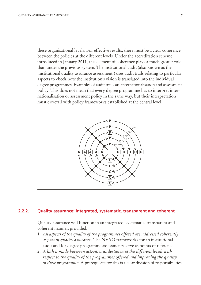these organisational levels. For effective results, there must be a clear coherence between the policies at the different levels. Under the accreditation scheme introduced in January 2011, this element of coherence plays a much greater role than under the previous system. The institutional audit (also known as the 'institutional quality assurance assessment') uses audit trails relating to particular aspects to check how the institution's vision is translated into the individual degree programmes. Examples of audit trails are internationalisation and assessment policy. This does not mean that every degree programme has to interpret internationalisation or assessment policy in the same way, but their interpretation must dovetail with policy frameworks established at the central level.



#### **Quality assurance: integrated, systematic, transparent and coherent 2.2.2.**

Quality assurance will function in an integrated, systematic, transparent and coherent manner, provided:

- 1. *All aspects of the quality of the programmes offered are addressed coherently as part of quality assurance*. The NVAO frameworks for an institutional audit and for degree programme assessments serve as points of reference.
- 2. *A link is made between activities undertaken at the different levels with respect to the quality of the programmes offered and improving the quality of these programmes*. A prerequisite for this is a clear division of responsibilities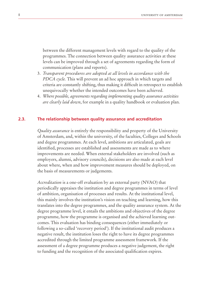between the different management levels with regard to the quality of the programmes. The connection between quality assurance activities at these levels can be improved through a set of agreements regarding the form of communication (plans and reports).

- 3. *Transparent procedures are adopted at all levels in accordance with the PDCA cycle.* This will prevent an ad hoc approach in which targets and criteria are constantly shifting, thus making it difficult in retrospect to establish unequivocally whether the intended outcomes have been achieved.
- 4. *Where possible, agreements regarding implementing quality assurance activities are clearly laid down*, for example in a quality handbook or evaluation plan.

#### **The relationship between quality assurance and accreditation 2.3.**

*Quality assurance* is entirely the responsibility and property of the University of Amsterdam, and, within the university, of the faculties, Colleges and Schools and degree programmes. At each level, ambitions are articulated, goals are identified, processes are established and assessments are made as to where improvements are needed. When external stakeholders are involved (such as employers, alumni, advisory councils), decisions are also made at each level about where, when and how improvement measures should be deployed, on the basis of measurements or judgements.

*Accreditation* is a one-off evaluation by an external party (NVAO) that periodically appraises the institution and degree programmes in terms of level of ambition, organisation of processes and results. At the institutional level, this mainly involves the institution's vision on teaching and learning, how this translates into the degree programmes, and the quality assurance system. At the degree programme level, it entails the ambitions and objectives of the degree programme, how the programme is organised and the achieved learning outcomes. This evaluation has binding consequences (either immediately or following a so-called 'recovery period'). If the institutional audit produces a negative result, the institution loses the right to have its degree programmes accredited through the limited programme assessment framework. If the assessment of a degree programme produces a negative judgement, the right to funding and the recognition of the associated qualification expires.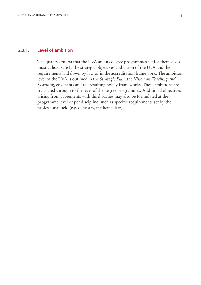#### **Level of ambition 2.3.1.**

The quality criteria that the UvA and its degree programmes set for themselves must at least satisfy the strategic objectives and vision of the UvA and the requirements laid down by law or in the accreditation framework. The ambition level of the UvA is outlined in the *Strategic Plan,* the *Vision on Teaching and Learning*, covenants and the resulting policy frameworks. These ambitions are translated through to the level of the degree programmes. Additional objectives arising from agreements with third parties may also be formulated at the programme level or per discipline, such as specific requirements set by the professional field (e.g. dentistry, medicine, law).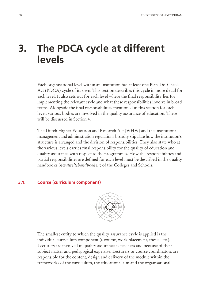# **3. The PDCA cycle at different levels**

Each organisational level within an institution has at least one Plan-Do-Check-Act (PDCA) cycle of its own. This section describes this cycle in more detail for each level. It also sets out for each level where the final responsibility lies for implementing the relevant cycle and what these responsibilities involve in broad terms. Alongside the final responsibilities mentioned in this section for each level, various bodies are involved in the quality assurance of education. These will be discussed in Section 4.

The Dutch Higher Education and Research Act (WHW) and the institutional management and administration regulations broadly stipulate how the institution's structure is arranged and the division of responsibilities. They also state who at the various levels carries final responsibility for the quality of education and quality assurance with respect to the programmes. How the responsibilities and partial responsibilities are defined for each level must be described in the quality handbooks (*kwaliteitshandboeken*) of the Colleges and Schools.

#### **Course (curriculum component) 3.1.**



The smallest entity to which the quality assurance cycle is applied is the individual curriculum component (a course, work placement, thesis, etc.). Lecturers are involved in quality assurance as teachers and because of their subject matter and pedagogical expertise. Lecturers or course coordinators are responsible for the content, design and delivery of the module within the frameworks of the curriculum, the educational aim and the organisational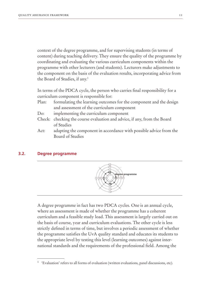context of the degree programme, and for supervising students (in terms of content) during teaching delivery. They ensure the quality of the programme by coordinating and evaluating the various curriculum components within the programme with other lecturers (and students). Lecturers make adjustments to the component on the basis of the evaluation results, incorporating advice from the Board of Studies, if any.1

In terms of the PDCA cycle, the person who carries final responsibility for a curriculum component is responsible for:

- Plan: formulating the learning outcomes for the component and the design and assessment of the curriculum component
- Do: implementing the curriculum component
- Check: checking the course evaluation and advice, if any, from the Board of Studies
- Act: adapting the component in accordance with possible advice from the Board of Studies

#### **Degree programme 3.2.**



A degree programme in fact has two PDCA cycles. One is an annual cycle, where an assessment is made of whether the programme has a coherent curriculum and a feasible study load. This assessment is largely carried out on the basis of course, year and curriculum evaluations. The other cycle is less strictly defined in terms of time, but involves a periodic assessment of whether the programme satisfies the UvA quality standard and educates its students to the appropriate level by testing this level (learning outcomes) against international standards and the requirements of the professional field. Among the

<sup>&</sup>lt;sup>1</sup> 'Evaluation' refers to all forms of evaluation (written evaluations, panel discussions, etc).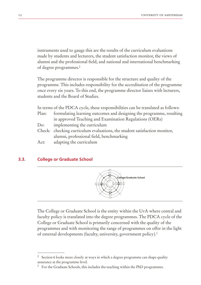instruments used to gauge this are the results of the curriculum evaluations made by students and lecturers, the student satisfaction monitor, the views of alumni and the professional field, and national and international benchmarking of degree programmes.2

The programme director is responsible for the structure and quality of the programme. This includes responsibility for the accreditation of the programme once every six years. To this end, the programme director liaises with lecturers, students and the Board of Studies.

In terms of the PDCA cycle, these responsibilities can be translated as follows: Plan: formulating learning outcomes and designing the programme, resulting in approved Teaching and Examination Regulations (OERs) Do: implementing the curriculum Check: checking curriculum evaluations, the student satisfaction monitor, alumni, professional field, benchmarking Act: adapting the curriculum

#### **College or Graduate School 3.3.**



The College or Graduate School is the entity within the UvA where central and faculty policy is translated into the degree programmes. The PDCA cycle of the College or Graduate School is primarily concerned with the quality of the programmes and with monitoring the range of programmes on offer in the light of external developments (faculty, university, government policy).3

Section 6 looks more closely at ways in which a degree programme can shape quality assurance at the programme level.

<sup>&</sup>lt;sup>3</sup> For the Graduate Schools, this includes the teaching within the PhD programmes.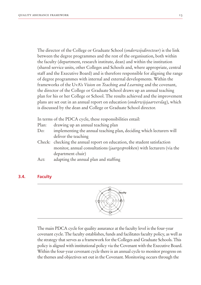The director of the College or Graduate School (*onderwijsdirecteur*) is the link between the degree programmes and the rest of the organisation, both within the faculty (department, research institute, dean) and within the institution (shared service units, other Colleges and Schools and, where appropriate, central staff and the Executive Board) and is therefore responsible for aligning the range of degree programmes with internal and external developments. Within the frameworks of the UvA's *Vision on Teaching and Learning* and the covenant, the director of the College or Graduate School draws up an annual teaching plan for his or her College or School. The results achieved and the improvement plans are set out in an annual report on education (*onderwijsjaarverslag*), which is discussed by the dean and College or Graduate School director.

In terms of the PDCA cycle, these responsibilities entail:

- Plan: drawing up an annual teaching plan
- Do: implementing the annual teaching plan, deciding which lecturers will deliver the teaching
- Check: checking the annual report on education, the student satisfaction monitor, annual consultations (*jaargesprekken*) with lecturers (via the department chair)
- Act: adapting the annual plan and staffing

#### **Faculty 3.4.**



The main PDCA cycle for quality assurance at the faculty level is the four-year covenant cycle. The faculty establishes, funds and facilitates faculty policy, as well as the strategy that serves as a framework for the Colleges and Graduate Schools. This policy is aligned with institutional policy via the Covenant with the Executive Board. Within the four-year covenant cycle there is an annual cycle to monitor progress on the themes and objectives set out in the Covenant. Monitoring occurs through the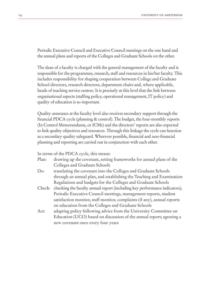Periodic Executive Council and Executive Council meetings on the one hand and the annual plans and reports of the Colleges and Graduate Schools on the other.

The dean of a faculty is charged with the general management of the faculty and is responsible for the programmes, research, staff and resources in his/her faculty. This includes responsibility for shaping cooperation between College and Graduate School directors, research directors, department chairs and, where applicable, heads of teaching service centres. It is precisely at this level that the link between organisational aspects (staffing policy, operational management, IT policy) and quality of education is so important.

Quality assurance at the faculty level also receives secondary support through the financial PDCA cycle (planning & control). The budget, the four-monthly reports (In Control Memorandums, or ICMs) and the directors' reports are also expected to link quality objectives and resources. Through this linkage the cycle can function as a secondary quality safeguard. Wherever possible, financial and non-financial planning and reporting are carried out in conjunction with each other.

In terms of the PDCA cycle, this means:

| Plan:  | drawing up the covenant, setting frameworks for annual plans of the        |
|--------|----------------------------------------------------------------------------|
|        | Colleges and Graduate Schools                                              |
| Do:    | translating the covenant into the Colleges and Graduate Schools            |
|        | through an annual plan, and establishing the Teaching and Examination      |
|        | Regulations and budgets for the Colleges and Graduate Schools              |
| Check: | checking the faculty annual report (including key performance indicators), |
|        | Periodic Executive Council meetings, management reports, student           |
|        | satisfaction monitor, staff monitor, complaints (if any), annual reports   |
|        | on education from the Colleges and Graduate Schools                        |
| Act:   | adapting policy following advice from the University Committee on          |
|        | Education (UCO) based on discussion of the annual report; agreeing a       |
|        | new covenant once every four years                                         |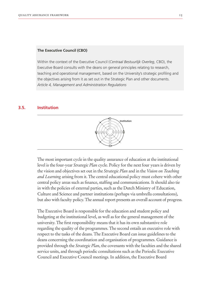### **The Executive Council (CBO)**

Within the context of the Executive Council (*Centraal Bestuurlijk Overleg*, CBO), the Executive Board consults with the deans on general principles relating to research, teaching and operational management, based on the University's strategic profiling and the objectives arising from it as set out in the Strategic Plan and other documents. *Article 4, Management and Administration Regulations*

#### **Institution 3.5.**



The most important cycle in the quality assurance of education at the institutional level is the four-year *Strategic Plan* cycle. Policy for the next four years is driven by the vision and objectives set out in the *Strategic Plan* and in the *Vision on Teaching and Learning* arising from it. The central educational policy must cohere with other central policy areas such as finance, staffing and communications. It should also tie in with the policies of external parties, such as the Dutch Ministry of Education, Culture and Science and partner institutions (perhaps via umbrella consultations), but also with faculty policy. The annual report presents an overall account of progress.

The Executive Board is responsible for the education and student policy and budgeting at the institutional level, as well as for the general management of the university. The first responsibility means that it has its own substantive role regarding the quality of the programmes. The second entails an executive role with respect to the tasks of the deans. The Executive Board can issue guidelines to the deans concerning the coordination and organisation of programmes. Guidance is provided through the *Strategic Plan*, the covenants with the faculties and the shared service units, and through periodic consultations such as the Periodic Executive Council and Executive Council meetings. In addition, the Executive Board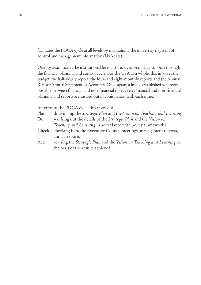facilitates the PDCA cycle at all levels by maintaining the university's system of control and management information (UvAdata).

Quality assurance at the institutional level also receives secondary support through the financial planning and control cycle. For the UvA as a whole, this involves the budget, the half-yearly report, the four- and eight-monthly reports and the Annual Report/Annual Statement of Accounts. Once again, a link is established wherever possible between financial and non-financial objectives. Financial and non-financial planning and reports are carried out in conjunction with each other.

In terms of the PDCA cycle this involves:

- Plan: drawing up the *Strategic Plan* and the *Vision on Teaching and Learning* Do: working out the details of the *Strategic Plan* and the *Vision on Teaching and Learning* in accordance with policy frameworks
- Check: checking Periodic Executive Council meetings, management reports, annual reports
- Act: revising the *Strategic Plan* and the *Vision on Teaching and Learning* on the basis of the results achieved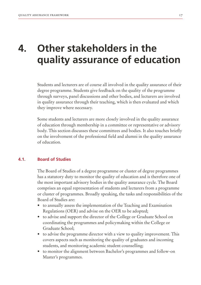# **4. Other stakeholders in the quality assurance of education**

Students and lecturers are of course all involved in the quality assurance of their degree programme. Students give feedback on the quality of the programme through surveys, panel discussions and other bodies, and lecturers are involved in quality assurance through their teaching, which is then evaluated and which they improve where necessary.

Some students and lecturers are more closely involved in the quality assurance of education through membership in a committee or representative or advisory body. This section discusses these committees and bodies. It also touches briefly on the involvement of the professional field and alumni in the quality assurance of education.

#### **Board of Studies 4.1.**

The Board of Studies of a degree programme or cluster of degree programmes has a statutory duty to monitor the quality of education and is therefore one of the most important advisory bodies in the quality assurance cycle. The Board comprises an equal representation of students and lecturers from a programme or cluster of programmes. Broadly speaking, the tasks and responsibilities of the Board of Studies are:

- to annually assess the implementation of the Teaching and Examination Regulations (OER) and advise on the OER to be adopted;
- to advise and support the director of the College or Graduate School on coordinating the programmes and policymaking within the College or Graduate School;
- to advise the programme director with a view to quality improvement. This covers aspects such as monitoring the quality of graduates and incoming students, and monitoring academic student counselling;
- to monitor the alignment between Bachelor's programmes and follow-on Master's programmes.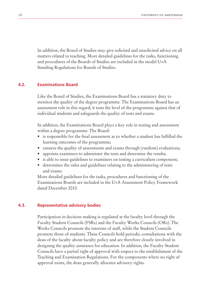In addition, the Board of Studies may give solicited and unsolicited advice on all matters related to teaching. More detailed guidelines for the tasks, functioning and procedures of the Boards of Studies are included in the model UvA Standing Regulations for Boards of Studies.

#### **Examinations Board 4.2.**

Like the Board of Studies, the Examinations Board has a statutory duty to monitor the quality of the degree programme. The Examinations Board has an assessment role in this regard; it tests the level of the programme against that of individual students and safeguards the quality of tests and exams.

In addition, the Examinations Board plays a key role in testing and assessment within a degree programme. The Board:

- is responsible for the final assessment as to whether a student has fulfilled the learning outcomes of the programme;
- ensures the quality of assessments and exams through (random) evaluations;
- appoints examiners to administer the tests and determine the results;
- is able to issue guidelines to examiners on testing a curriculum component;
- determines the rules and guidelines relating to the administering of tests and exams.

More detailed guidelines for the tasks, procedures and functioning of the Examinations Boards are included in the UvA Assessment Policy Framework dated December 2010.

#### **Representative advisory bodies 4.3.**

Participation in decision-making is regulated at the faculty level through the Faculty Student Councils (FSRs) and the Faculty Works Councils (ORs). The Works Councils promote the interests of staff, while the Student Councils promote those of students. These Councils hold periodic consultations with the dean of the faculty about faculty policy and are therefore closely involved in designing the quality assurance for education. In addition, the Faculty Student Councils have a partial right of approval with respect to the establishment of the Teaching and Examination Regulations. For the components where no right of approval exists, the dean generally allocates advisory rights.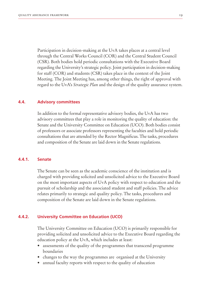Participation in decision-making at the UvA takes places at a central level through the Central Works Council (COR) and the Central Student Council (CSR). Both bodies hold periodic consultations with the Executive Board regarding the University's strategic policy. Joint participation in decision-making for staff (COR) and students (CSR) takes place in the context of the Joint Meeting. The Joint Meeting has, among other things, the right of approval with regard to the UvA's *Strategic Plan* and the design of the quality assurance system.

#### **Advisory committees 4.4.**

In addition to the formal representative advisory bodies, the UvA has two advisory committees that play a role in monitoring the quality of education: the Senate and the University Committee on Education (UCO). Both bodies consist of professors or associate professors representing the faculties and hold periodic consultations that are attended by the Rector Magnificus. The tasks, procedures and composition of the Senate are laid down in the Senate regulations.

#### **Senate 4.4.1.**

The Senate can be seen as the academic conscience of the institution and is charged with providing solicited and unsolicited advice to the Executive Board on the most important aspects of UvA policy with respect to education and the pursuit of scholarship and the associated student and staff policies. The advice relates primarily to strategic and quality policy. The tasks, procedures and composition of the Senate are laid down in the Senate regulations.

#### **University Committee on Education (UCO) 4.4.2.**

The University Committee on Education (UCO) is primarily responsible for providing solicited and unsolicited advice to the Executive Board regarding the education policy at the UvA, which includes at least:

- assessments of the quality of the programmes that transcend programme boundaries
- changes to the way the programmes are organised at the University
- annual faculty reports with respect to the quality of education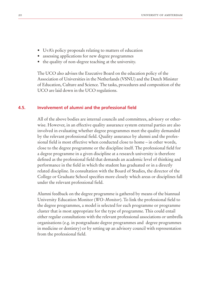- UvA's policy proposals relating to matters of education
- assessing applications for new degree programmes
- the quality of non-degree teaching at the university.

The UCO also advises the Executive Board on the education policy of the Association of Universities in the Netherlands (VSNU) and the Dutch Minister of Education, Culture and Science. The tasks, procedures and composition of the UCO are laid down in the UCO regulations.

#### **Involvement of alumni and the professional field 4.5.**

All of the above bodies are internal councils and committees, advisory or otherwise. However, in an effective quality assurance system external parties are also involved in evaluating whether degree programmes meet the quality demanded by the relevant professional field. Quality assurance by alumni and the professional field is most effective when conducted close to home – in other words, close to the degree programme or the discipline itself. The professional field for a degree programme in a given discipline at a research university is therefore defined as the professional field that demands an academic level of thinking and performance in the field in which the student has graduated or in a directly related discipline. In consultation with the Board of Studies, the director of the College or Graduate School specifies more closely which areas or disciplines fall under the relevant professional field.

Alumni feedback on the degree programme is gathered by means of the biannual University Education Monitor (*WO-Monitor*). To link the professional field to the degree programmes, a model is selected for each programme or programme cluster that is most appropriate for the type of programme. This could entail either regular consultations with the relevant professional associations or umbrella organisations (e.g. in postgraduate degree programmes and degree programmes in medicine or dentistry) or by setting up an advisory council with representation from the professional field.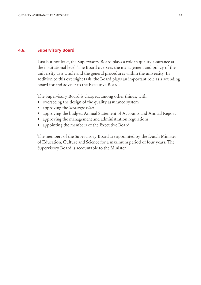#### **Supervisory Board 4.6.**

Last but not least, the Supervisory Board plays a role in quality assurance at the institutional level. The Board oversees the management and policy of the university as a whole and the general procedures within the university. In addition to this oversight task, the Board plays an important role as a sounding board for and adviser to the Executive Board.

The Supervisory Board is charged, among other things, with:

- overseeing the design of the quality assurance system
- approving the *Strategic Plan*
- approving the budget, Annual Statement of Accounts and Annual Report
- approving the management and administration regulations
- appointing the members of the Executive Board.

The members of the Supervisory Board are appointed by the Dutch Minister of Education, Culture and Science for a maximum period of four years. The Supervisory Board is accountable to the Minister.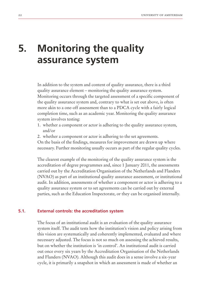# **5. Monitoring the quality assurance system**

In addition to the system and content of quality assurance, there is a third quality assurance element – monitoring the quality assurance system. Monitoring occurs through the targeted assessment of a specific component of the quality assurance system and, contrary to what is set out above, is often more akin to a one-off assessment than to a PDCA cycle with a fairly logical completion time, such as an academic year. Monitoring the quality assurance system involves testing:

- 1. whether a component or actor is adhering to the quality assurance system, and/or
- 2. whether a component or actor is adhering to the set agreements.

On the basis of the findings, measures for improvement are drawn up where necessary. Further monitoring usually occurs as part of the regular quality cycles.

The clearest example of the monitoring of the quality assurance system is the accreditation of degree programmes and, since 1 January 2011, the assessments carried out by the Accreditation Organisation of the Netherlands and Flanders (NVAO) as part of an institutional quality assurance assessment, or institutional audit. In addition, assessments of whether a component or actor is adhering to a quality assurance system or to set agreements can be carried out by external parties, such as the Education Inspectorate, or they can be organised internally.

#### **External controls: the accreditation system 5.1.**

The focus of an institutional audit is an evaluation of the quality assurance system itself. The audit tests how the institution's vision and policy arising from this vision are systematically and coherently implemented, evaluated and where necessary adjusted. The focus is not so much on assessing the achieved results, but on whether the institution is 'in control'. An institutional audit is carried out once every six years by the Accreditation Organisation of the Netherlands and Flanders (NVAO). Although this audit does in a sense involve a six-year cycle, it is primarily a snapshot in which an assessment is made of whether an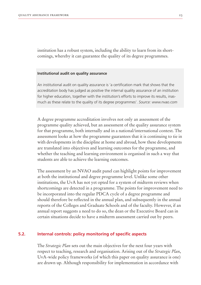institution has a robust system, including the ability to learn from its shortcomings, whereby it can guarantee the quality of its degree programmes.

### **Institutional audit on quality assurance**

An institutional audit on quality assurance is 'a certification mark that shows that the accreditation body has judged as positive the internal quality assurance of an institution for higher education, together with the institution's efforts to improve its results, inasmuch as these relate to the quality of its degree programmes'. *Source: www.nvao.com*

A degree programme accreditation involves not only an assessment of the programme quality achieved, but an assessment of the quality assurance system for that programme, both internally and in a national/international context. The assessment looks at how the programme guarantees that it is continuing to tie in with developments in the discipline at home and abroad, how these developments are translated into objectives and learning outcomes for the programme, and whether the teaching and learning environment is organised in such a way that students are able to achieve the learning outcomes.

The assessment by an NVAO audit panel can highlight points for improvement at both the institutional and degree programme level. Unlike some other institutions, the UvA has not yet opted for a system of midterm reviews when shortcomings are detected in a programme. The points for improvement need to be incorporated into the regular PDCA cycle of a degree programme and should therefore be reflected in the annual plan, and subsequently in the annual reports of the Colleges and Graduate Schools and of the faculty. However, if an annual report suggests a need to do so, the dean or the Executive Board can in certain situations decide to have a midterm assessment carried out by peers.

#### **Internal controls: policy monitoring of specific aspects 5.2.**

The *Strategic Plan* sets out the main objectives for the next four years with respect to teaching, research and organisation. Arising out of the *Strategic Plan*, UvA-wide policy frameworks (of which this paper on quality assurance is one) are drawn up. Although responsibility for implementation in accordance with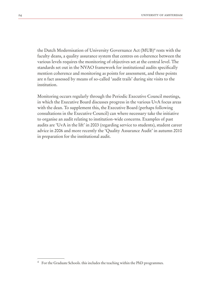the Dutch Modernisation of University Governance Act (MUB)<sup>4</sup> rests with the faculty deans, a quality assurance system that centres on coherence between the various levels requires the monitoring of objectives set at the central level. The standards set out in the NVAO framework for institutional audits specifically mention coherence and monitoring as points for assessment, and these points are n fact assessed by means of so-called 'audit trails' during site visits to the institution.

Monitoring occurs regularly through the Periodic Executive Council meetings, in which the Executive Board discusses progress in the various UvA focus areas with the dean. To supplement this, the Executive Board (perhaps following consultations in the Executive Council) can where necessary take the initiative to organise an audit relating to institution-wide concerns. Examples of past audits are 'UvA in the lift' in 2003 (regarding service to students), student career advice in 2006 and more recently the 'Quality Assurance Audit' in autumn 2010 in preparation for the institutional audit.

<sup>&</sup>lt;sup>4</sup> For the Graduate Schools. this includes the teaching within the PhD programmes.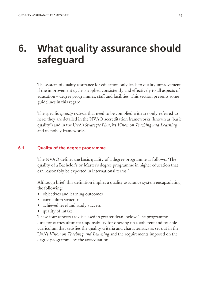# **6. What quality assurance should safeguard**

The system of quality assurance for education only leads to quality improvement if the improvement cycle is applied consistently and effectively to all aspects of education – degree programmes, staff and facilities. This section presents some guidelines in this regard.

The specific *quality criteria* that need to be complied with are only referred to here; they are detailed in the NVAO accreditation frameworks (known as 'basic quality') and in the UvA's *Strategic Plan*, its *Vision on Teaching and Learning* and its policy frameworks.

#### **Quality of the degree programme 6.1.**

The NVAO defines the basic quality of a degree programme as follows: 'The quality of a Bachelor's or Master's degree programme in higher education that can reasonably be expected in international terms.'

Although brief, this definition implies a quality assurance system encapsulating the following:

- objectives and learning outcomes
- curriculum structure
- achieved level and study success
- quality of intake.

These four aspects are discussed in greater detail below. The programme director carries ultimate responsibility for drawing up a coherent and feasible curriculum that satisfies the quality criteria and characteristics as set out in the UvA's *Vision on Teaching and Learning* and the requirements imposed on the degree programme by the accreditation.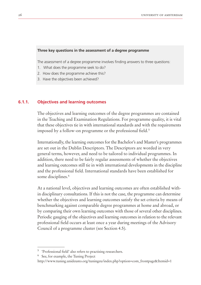### **Three key questions in the assessment of a degree programme**

The assessment of a degree programme involves finding answers to three questions:

- 1. What does the programme seek to do?
- 2. How does the programme achieve this?
- 3. Have the objectives been achieved?

#### **Objectives and learning outcomes 6.1.1.**

The objectives and learning outcomes of the degree programmes are contained in the Teaching and Examination Regulations. For programme quality, it is vital that these objectives tie in with international standards and with the requirements imposed by a follow-on programme or the professional field.<sup>5</sup>

Internationally, the learning outcomes for the Bachelor's and Master's programmes are set out in the Dublin Descriptors. The Descriptors are worded in very general terms, however, and need to be tailored to individual programmes. In addition, there need to be fairly regular assessments of whether the objectives and learning outcomes still tie in with international developments in the discipline and the professional field. International standards have been established for some disciplines.<sup>6</sup>

At a national level, objectives and learning outcomes are often established within disciplinary consultations. If this is not the case, the programme can determine whether the objectives and learning outcomes satisfy the set criteria by means of benchmarking against comparable degree programmes at home and abroad, or by comparing their own learning outcomes with those of several other disciplines. Periodic gauging of the objectives and learning outcomes in relation to the relevant professional field occurs at least once a year during meetings of the Advisory Council of a programme cluster (see Section 4.5).

<sup>5</sup> 'Professional field' also refers to practising researchers.

<sup>6</sup> See, for example, the Tuning Project

http://www.tuning.unideusto.org/tuningeu/index.php?option=com\_frontpage&Itemid=1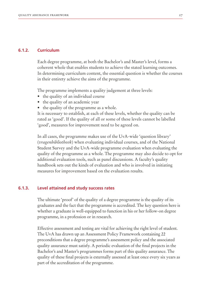#### **Curriculum 6.1.2.**

Each degree programme, at both the Bachelor's and Master's level, forms a coherent whole that enables students to achieve the stated learning outcomes. In determining curriculum content, the essential question is whether the courses in their entirety achieve the aims of the programme.

The programme implements a quality judgement at three levels:

- the quality of an individual course
- the quality of an academic year
- the quality of the programme as a whole.

It is necessary to establish, at each of these levels, whether the quality can be rated as 'good'. If the quality of all or some of these levels cannot be labelled 'good', measures for improvement need to be agreed on.

In all cases, the programme makes use of the UvA-wide 'question library' (*vragenbibliotheek*) when evaluating individual courses, and of the National Student Survey and the UvA-wide programme evaluation when evaluating the quality of the programme as a whole. The programme may also decide to opt for additional evaluation tools, such as panel discussions. A faculty's quality handbook sets out the kinds of evaluation and who is involved in initiating measures for improvement based on the evaluation results.

#### **Level attained and study success rates 6.1.3.**

The ultimate 'proof' of the quality of a degree programme is the quality of its graduates and the fact that the programme is accredited. The key question here is whether a graduate is well-equipped to function in his or her follow-on degree programme, in a profession or in research.

Effective assessment and testing are vital for achieving the right level of student. The UvA has drawn up an Assessment Policy Framework containing 22 preconditions that a degree programme's assessment policy and the associated quality assurance must satisfy. A periodic evaluation of the final projects in the Bachelor's and Master's programmes forms part of this quality assurance. The quality of these final projects is externally assessed at least once every six years as part of the accreditation of the programme.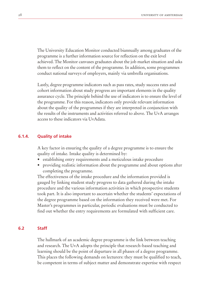The University Education Monitor conducted biannually among graduates of the programme is a further information source for reflection on the exit level achieved. The Monitor canvases graduates about the job market situation and asks them to reflect on the content of the programme. In addition, some programmes conduct national surveys of employers, mainly via umbrella organisations.

Lastly, degree programme indicators such as pass rates, study success rates and cohort information about study progress are important elements in the quality assurance cycle. The principle behind the use of indicators is to ensure the level of the programme. For this reason, indicators only provide relevant information about the quality of the programmes if they are interpreted in conjunction with the results of the instruments and activities referred to above. The UvA arranges access to these indicators via UvAdata.

#### **Quality of intake 6.1.4.**

A key factor in ensuring the quality of a degree programme is to ensure the quality of intake. Intake quality is determined by:

- establishing entry requirements and a meticulous intake procedure
- providing realistic information about the programme and about options after completing the programme.

The effectiveness of the intake procedure and the information provided is gauged by linking student study progress to data gathered during the intake procedure and the various information activities in which prospective students took part. It is also important to ascertain whether the students' expectations of the degree programme based on the information they received were met. For Master's programmes in particular, periodic evaluations must be conducted to find out whether the entry requirements are formulated with sufficient care.

#### **Staff 6.2**

The hallmark of an academic degree programme is the link between teaching and research. The UvA adopts the principle that research-based teaching and learning should be the point of departure in all phases of a degree programme. This places the following demands on lecturers: they must be qualified to teach, be competent in terms of subject matter and demonstrate expertise with respect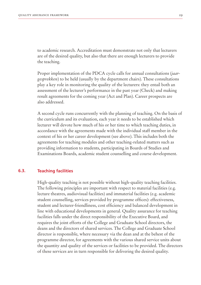to academic research. Accreditation must demonstrate not only that lecturers are of the desired quality, but also that there are enough lecturers to provide the teaching.

Proper implementation of the PDCA cycle calls for annual consultations (*jaargesprekken*) to be held (usually by the department chairs). These consultations play a key role in monitoring the quality of the lecturers: they entail both an assessment of the lecturer's performance in the past year (Check) and making result agreements for the coming year (Act and Plan). Career prospects are also addressed.

A second cycle runs concurrently with the planning of teaching. On the basis of the curriculum and its evaluation, each year it needs to be established which lecturer will devote how much of his or her time to which teaching duties, in accordance with the agreements made with the individual staff member in the context of his or her career development (see above). This includes both the agreements for teaching modules and other teaching-related matters such as providing information to students, participating in Boards of Studies and Examinations Boards, academic student counselling and course development.

#### **Teaching facilities 6.3.**

High-quality teaching is not possible without high-quality teaching facilities. The following principles are important with respect to material facilities (e.g. lecture theatres, audiovisual facilities) and immaterial facilities (e.g. academic student counselling, services provided by programme offices): effectiveness, student and lecturer-friendliness, cost efficiency and balanced development in line with educational developments in general. Quality assurance for teaching facilities falls under the direct responsibility of the Executive Board, and requires the joint efforts of the College and Graduate School directors, the deans and the directors of shared services. The College and Graduate School director is responsible, where necessary via the dean and at the behest of the programme director, for agreements with the various shared service units about the quantity and quality of the services or facilities to be provided. The directors of these services are in turn responsible for delivering the desired quality.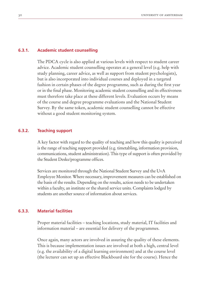#### **Academic student counselling 6.3.1.**

The PDCA cycle is also applied at various levels with respect to student career advice. Academic student counselling operates at a general level (e.g. help with study planning, career advice, as well as support from student psychologists), but is also incorporated into individual courses and deployed in a targeted fashion in certain phases of the degree programme, such as during the first year or in the final phase. Monitoring academic student counselling and its effectiveness must therefore take place at these different levels. Evaluation occurs by means of the course and degree programme evaluations and the National Student Survey. By the same token, academic student counselling cannot be effective without a good student monitoring system.

#### **Teaching support 6.3.2.**

A key factor with regard to the quality of teaching and how this quality is perceived is the range of teaching support provided (e.g. timetabling, information provision, communications, student administration). This type of support is often provided by the Student Desks/programme offices.

Services are monitored through the National Student Survey and the UvA Employee Monitor. Where necessary, improvement measures can be established on the basis of the results. Depending on the results, action needs to be undertaken within a faculty, an institute or the shared service units. Complaints lodged by students are another source of information about services.

#### **Material facilities 6.3.3.**

Proper material facilities – teaching locations, study material, IT facilities and information material – are essential for delivery of the programmes.

Once again, many actors are involved in assuring the quality of these elements. This is because implementation issues are involved at both a high, central level (e.g. the availability of a digital learning environment) and at the course level (the lecturer can set up an effective Blackboard site for the course). Hence the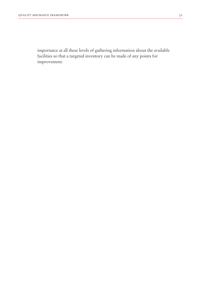importance at all these levels of gathering information about the available facilities so that a targeted inventory can be made of any points for improvement.